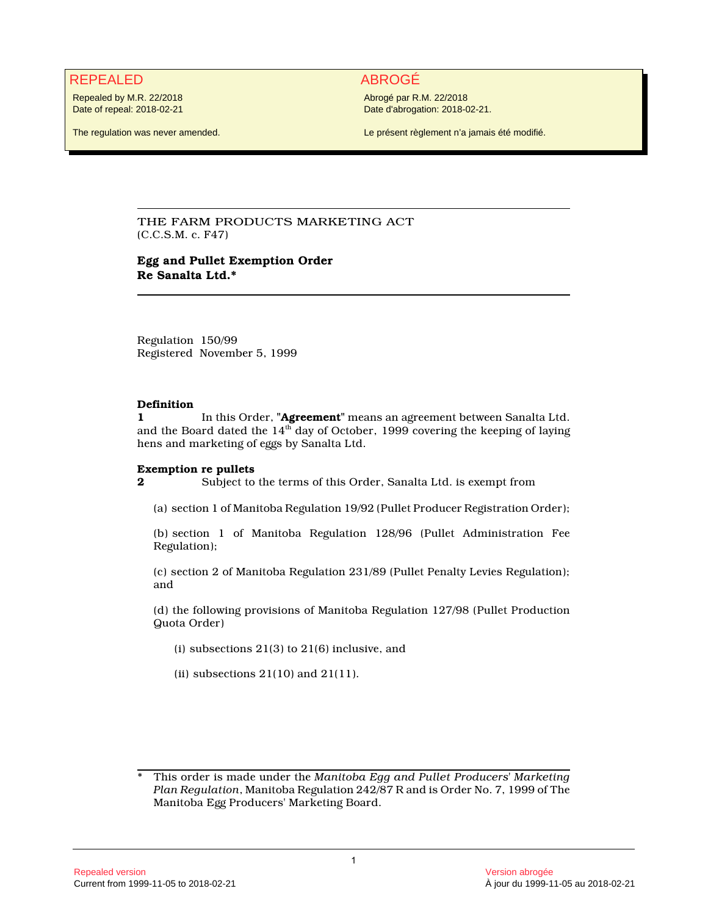# REPEALED ABROGÉ

Repealed by M.R. 22/2018 Date of repeal: 2018-02-21

The regulation was never amended.

Abrogé par R.M. 22/2018 Date d'abrogation: 2018-02-21.

Le présent règlement n'a jamais été modifié.

THE FARM PRODUCTS MARKETING ACT (C.C.S.M. c. F47)

## **Egg and Pullet Exemption Order Re Sanalta Ltd.\***

Regulation 150/99 Registered November 5, 1999

## **Definition**

**1** In this Order, **"Agreement"** means an agreement between Sanalta Ltd. and the Board dated the  $14<sup>th</sup>$  day of October, 1999 covering the keeping of laying hens and marketing of eggs by Sanalta Ltd.

## **Exemption re pullets**

**2** Subject to the terms of this Order, Sanalta Ltd. is exempt from

(a) section 1 of Manitoba Regulation 19/92 (Pullet Producer Registration Order);

(b) section 1 of Manitoba Regulation 128/96 (Pullet Administration Fee Regulation);

(c) section 2 of Manitoba Regulation 231/89 (Pullet Penalty Levies Regulation); and

(d) the following provisions of Manitoba Regulation 127/98 (Pullet Production Quota Order)

- (i) subsections 21(3) to 21(6) inclusive, and
- (ii) subsections  $21(10)$  and  $21(11)$ .

<sup>\*</sup> This order is made under the *Manitoba Egg and Pullet Producers' Marketing Plan Regulation*, Manitoba Regulation 242/87 R and is Order No. 7, 1999 of The Manitoba Egg Producers' Marketing Board.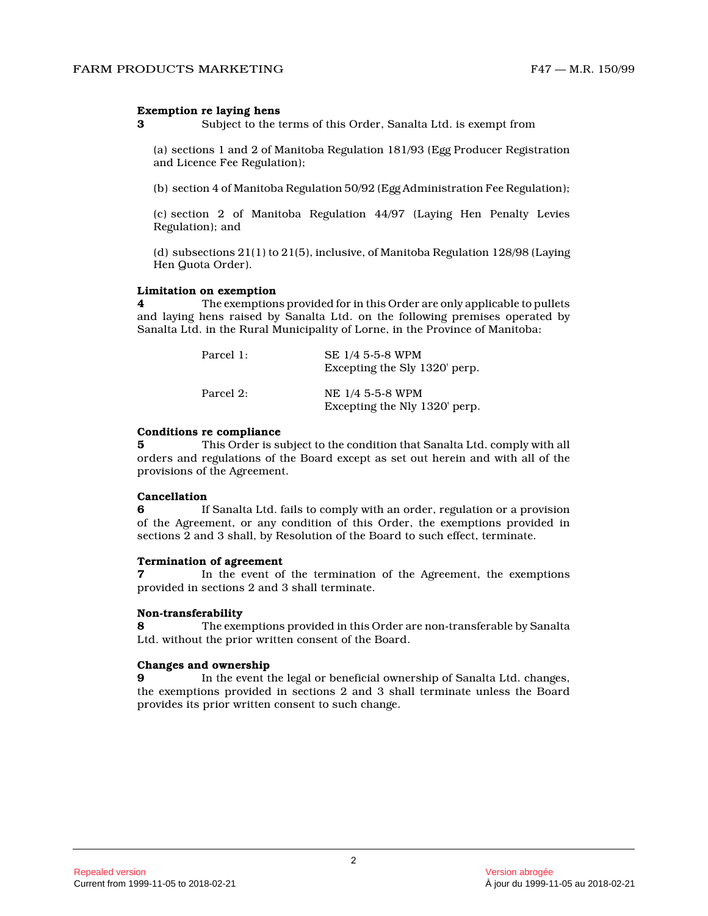## **Exemption re laying hens**

**3** Subject to the terms of this Order, Sanalta Ltd. is exempt from

(a) sections 1 and 2 of Manitoba Regulation 181/93 (Egg Producer Registration and Licence Fee Regulation);

(b) section 4 of Manitoba Regulation 50/92 (Egg Administration Fee Regulation);

(c) section 2 of Manitoba Regulation 44/97 (Laying Hen Penalty Levies Regulation); and

(d) subsections 21(1) to 21(5), inclusive, of Manitoba Regulation 128/98 (Laying Hen Quota Order).

#### **Limitation on exemption**

**4** The exemptions provided for in this Order are only applicable to pullets and laying hens raised by Sanalta Ltd. on the following premises operated by Sanalta Ltd. in the Rural Municipality of Lorne, in the Province of Manitoba:

| Parcel 1: | SE 1/4 5-5-8 WPM<br>Excepting the Sly 1320' perp. |
|-----------|---------------------------------------------------|
| Parcel 2: | NE 1/4 5-5-8 WPM<br>Excepting the Nly 1320' perp. |

## **Conditions re compliance**

**5** This Order is subject to the condition that Sanalta Ltd. comply with all orders and regulations of the Board except as set out herein and with all of the provisions of the Agreement.

## **Cancellation**

**6** If Sanalta Ltd. fails to comply with an order, regulation or a provision of the Agreement, or any condition of this Order, the exemptions provided in sections 2 and 3 shall, by Resolution of the Board to such effect, terminate.

## **Termination of agreement**

**7** In the event of the termination of the Agreement, the exemptions provided in sections 2 and 3 shall terminate.

## **Non-transferability**

**8** The exemptions provided in this Order are non-transferable by Sanalta Ltd. without the prior written consent of the Board .

## **Changes and ownership**

**9** In the event the legal or beneficial ownership of Sanalta Ltd. changes, the exemptions provided in sections 2 and 3 shall terminate unless the Board provides its prior written consent to such change.